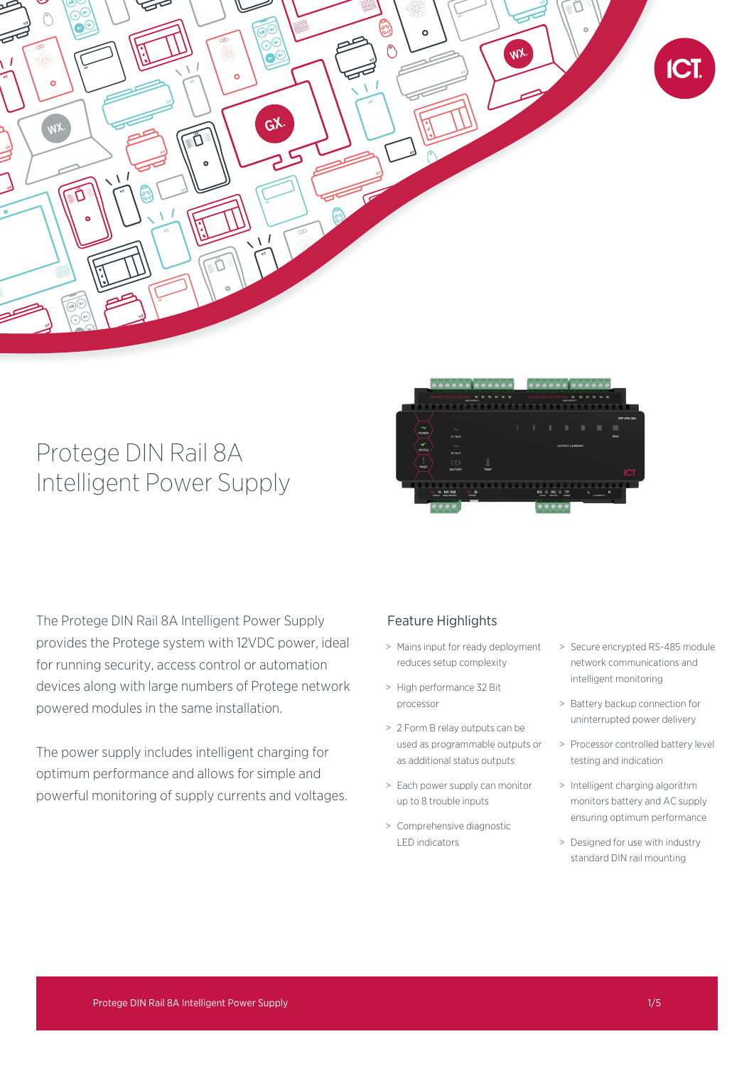

# Protege DIN Rail 8A Intelligent Power Supply



The Protege DIN Rail 8A Intelligent Power Supply provides the Protege system with 12VDC power, ideal for running security, access control or automation devices along with large numbers of Protege network powered modules in the same installation.

The power supply includes intelligent charging for optimum performance and allows for simple and powerful monitoring of supply currents and voltages.

## Feature Highlights

- > Mains input for ready deployment reduces setup complexity
- > High performance 32 Bit processor
- > 2 Form B relay outputs can be used as programmable outputs or as additional status outputs
- > Each power supply can monitor up to 8 trouble inputs
- > Comprehensive diagnostic LED indicators
- > Secure encrypted RS-485 module network communications and intelligent monitoring
- > Battery backup connection for uninterrupted power delivery
- > Processor controlled battery level testing and indication
- > Intelligent charging algorithm monitors battery and AC supply ensuring optimum performance
- > Designed for use with industry standard DIN rail mounting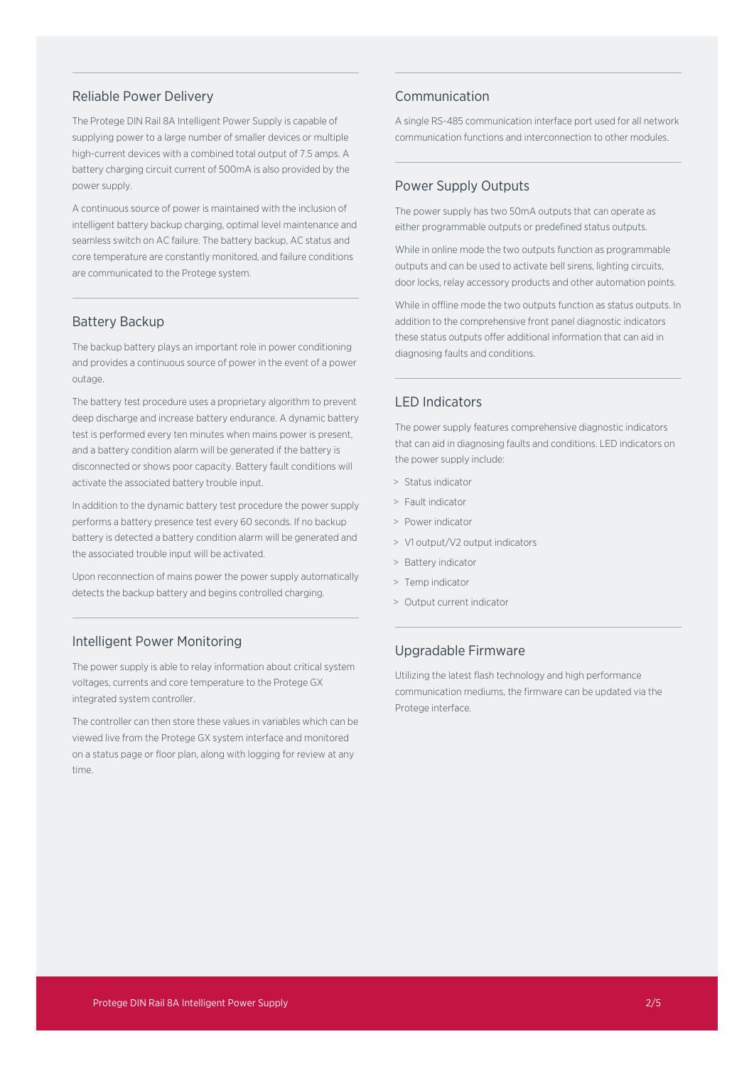## Reliable Power Delivery

The Protege DIN Rail 8A Intelligent Power Supply is capable of supplying power to a large number of smaller devices or multiple high-current devices with a combined total output of 7.5 amps. A battery charging circuit current of 500mA is also provided by the power supply.

A continuous source of power is maintained with the inclusion of intelligent battery backup charging, optimal level maintenance and seamless switch on AC failure. The battery backup, AC status and core temperature are constantly monitored, and failure conditions are communicated to the Protege system.

#### Battery Backup

The backup battery plays an important role in power conditioning and provides a continuous source of power in the event of a power outage.

The battery test procedure uses a proprietary algorithm to prevent deep discharge and increase battery endurance. A dynamic battery test is performed every ten minutes when mains power is present, and a battery condition alarm will be generated if the battery is disconnected or shows poor capacity. Battery fault conditions will activate the associated battery trouble input.

In addition to the dynamic battery test procedure the power supply performs a battery presence test every 60 seconds. If no backup battery is detected a battery condition alarm will be generated and the associated trouble input will be activated.

Upon reconnection of mains power the power supply automatically detects the backup battery and begins controlled charging.

### Intelligent Power Monitoring

The power supply is able to relay information about critical system voltages, currents and core temperature to the Protege GX integrated system controller.

The controller can then store these values in variables which can be viewed live from the Protege GX system interface and monitored on a status page or floor plan, along with logging for review at any time.

## Communication

A single RS-485 communication interface port used for all network communication functions and interconnection to other modules.

## Power Supply Outputs

The power supply has two 50mA outputs that can operate as either programmable outputs or predefined status outputs.

While in online mode the two outputs function as programmable outputs and can be used to activate bell sirens, lighting circuits, door locks, relay accessory products and other automation points.

While in offline mode the two outputs function as status outputs. In addition to the comprehensive front panel diagnostic indicators these status outputs offer additional information that can aid in diagnosing faults and conditions.

## LED Indicators

The power supply features comprehensive diagnostic indicators that can aid in diagnosing faults and conditions. LED indicators on the power supply include:

- > Status indicator
- > Fault indicator
- > Power indicator
- > V1 output/V2 output indicators
- > Battery indicator
- > Temp indicator
- > Output current indicator

## Upgradable Firmware

Utilizing the latest flash technology and high performance communication mediums, the firmware can be updated via the Protege interface.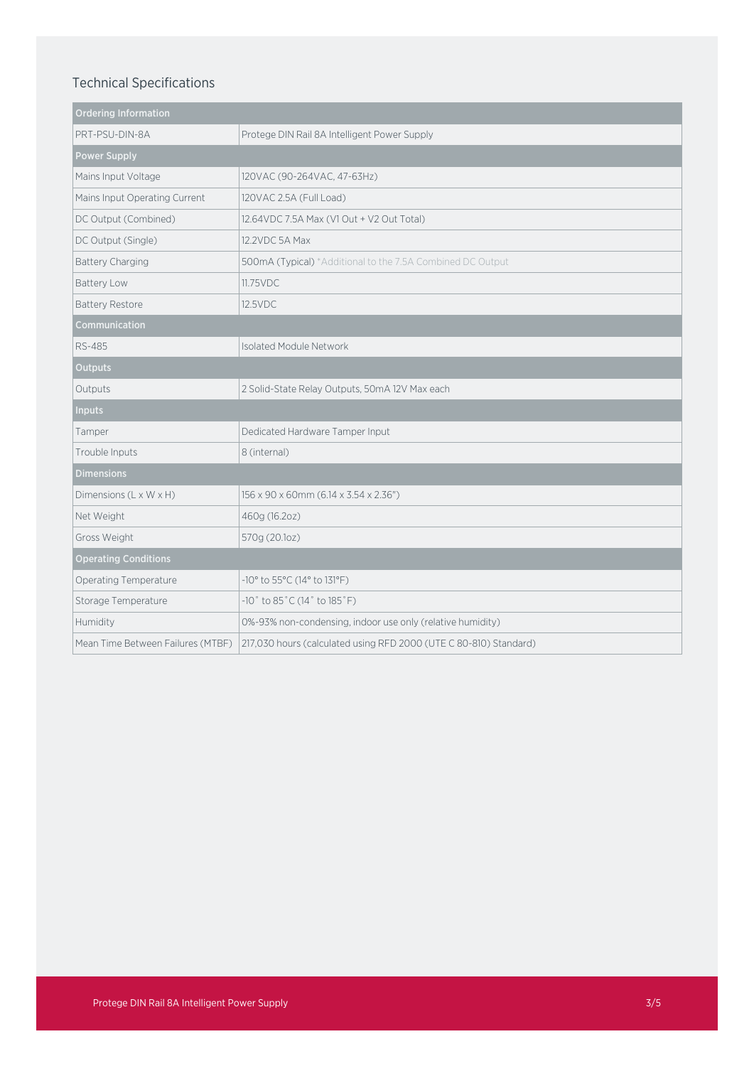# Technical Specifications

| <b>Ordering Information</b>       |                                                                   |
|-----------------------------------|-------------------------------------------------------------------|
| PRT-PSU-DIN-8A                    | Protege DIN Rail 8A Intelligent Power Supply                      |
| <b>Power Supply</b>               |                                                                   |
| Mains Input Voltage               | 120VAC (90-264VAC, 47-63Hz)                                       |
| Mains Input Operating Current     | 120VAC 2.5A (Full Load)                                           |
| DC Output (Combined)              | 12.64 VDC 7.5A Max (V1 Out + V2 Out Total)                        |
| DC Output (Single)                | 12.2VDC 5A Max                                                    |
| Battery Charging                  | 500mA (Typical) *Additional to the 7.5A Combined DC Output        |
| <b>Battery Low</b>                | 11.75VDC                                                          |
| <b>Battery Restore</b>            | 12.5VDC                                                           |
| Communication                     |                                                                   |
| RS-485                            | Isolated Module Network                                           |
| Outputs                           |                                                                   |
| Outputs                           | 2 Solid-State Relay Outputs, 50mA 12V Max each                    |
| <b>Inputs</b>                     |                                                                   |
| Tamper                            | Dedicated Hardware Tamper Input                                   |
| Trouble Inputs                    | 8 (internal)                                                      |
| <b>Dimensions</b>                 |                                                                   |
| Dimensions (L x W x H)            | 156 x 90 x 60mm (6.14 x 3.54 x 2.36")                             |
| Net Weight                        | 460g (16.20z)                                                     |
| Gross Weight                      | 570g (20.1oz)                                                     |
| <b>Operating Conditions</b>       |                                                                   |
| Operating Temperature             | -10° to 55°C (14° to 131°F)                                       |
| Storage Temperature               | $-10$ ° to 85°C (14° to 185°F)                                    |
| Humidity                          | 0%-93% non-condensing, indoor use only (relative humidity)        |
| Mean Time Between Failures (MTBF) | 217,030 hours (calculated using RFD 2000 (UTE C 80-810) Standard) |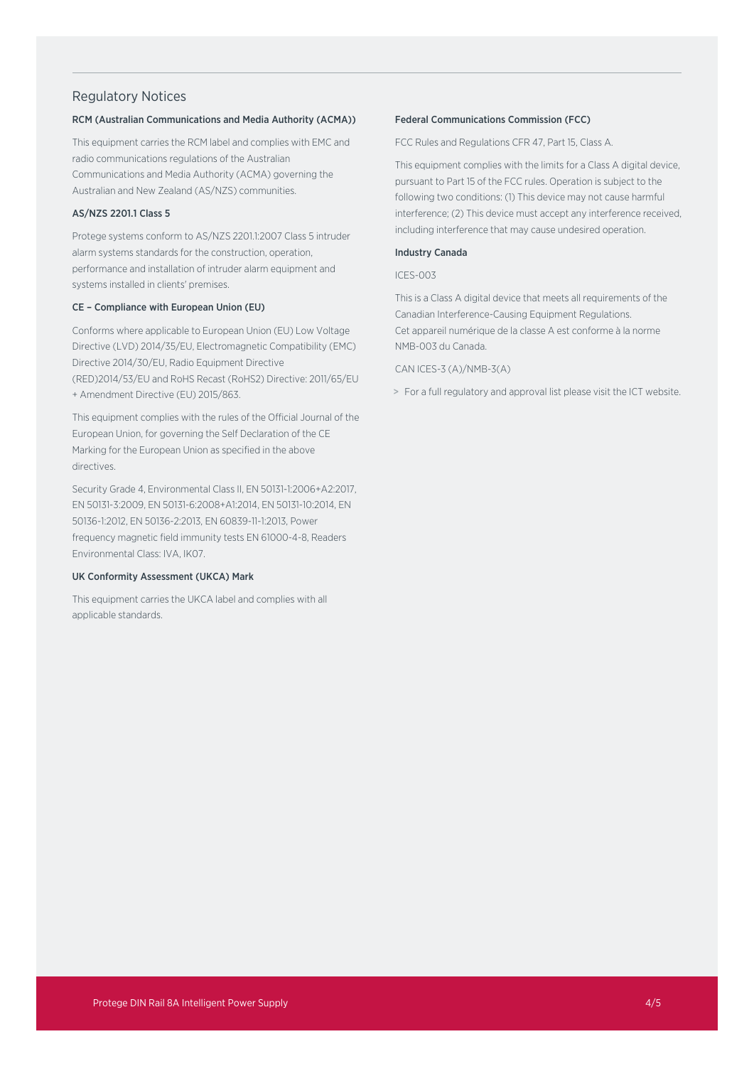## Regulatory Notices

#### RCM (Australian Communications and Media Authority (ACMA))

This equipment carries the RCM label and complies with EMC and radio communications regulations of the Australian Communications and Media Authority (ACMA) governing the Australian and New Zealand (AS/NZS) communities.

## AS/NZS 2201.1 Class 5

Protege systems conform to AS/NZS 2201.1:2007 Class 5 intruder alarm systems standards for the construction, operation, performance and installation of intruder alarm equipment and systems installed in clients' premises.

#### CE – Compliance with European Union (EU)

Conforms where applicable to European Union (EU) Low Voltage Directive (LVD) 2014/35/EU, Electromagnetic Compatibility (EMC) Directive 2014/30/EU, Radio Equipment Directive (RED)2014/53/EU and RoHS Recast (RoHS2) Directive: 2011/65/EU + Amendment Directive (EU) 2015/863.

This equipment complies with the rules of the Official Journal of the European Union, for governing the Self Declaration of the CE Marking for the European Union as specified in the above directives.

Security Grade 4, Environmental Class II, EN 50131-1:2006+A2:2017, EN 50131-3:2009, EN 50131-6:2008+A1:2014, EN 50131-10:2014, EN 50136-1:2012, EN 50136-2:2013, EN 60839-11-1:2013, Power frequency magnetic field immunity tests EN 61000-4-8, Readers Environmental Class: IVA, IK07.

#### UK Conformity Assessment (UKCA) Mark

This equipment carries the UKCA label and complies with all applicable standards.

#### Federal Communications Commission (FCC)

FCC Rules and Regulations CFR 47, Part 15, Class A.

This equipment complies with the limits for a Class A digital device, pursuant to Part 15 of the FCC rules. Operation is subject to the following two conditions: (1) This device may not cause harmful interference; (2) This device must accept any interference received, including interference that may cause undesired operation.

#### Industry Canada

#### ICES-003

This is a Class A digital device that meets all requirements of the Canadian Interference-Causing Equipment Regulations. Cet appareil numérique de la classe A est conforme à la norme NMB-003 du Canada.

#### CAN ICES-3 (A)/NMB-3(A)

> For a full regulatory and approval list please visit the ICT website.